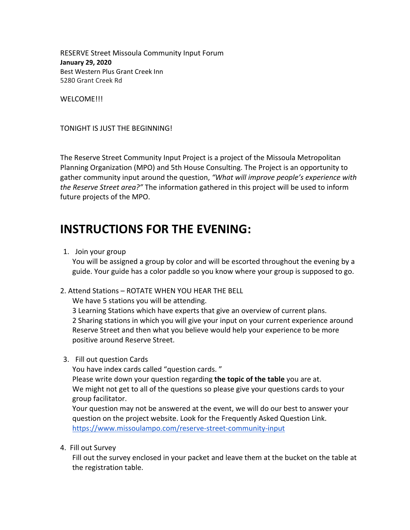RESERVE Street Missoula Community Input Forum **January 29, 2020**  Best Western Plus Grant Creek Inn 5280 Grant Creek Rd

WELCOME!!!

TONIGHT IS JUST THE BEGINNING!

The Reserve Street Community Input Project is a project of the Missoula Metropolitan Planning Organization (MPO) and 5th House Consulting. The Project is an opportunity to gather community input around the question, *"What will improve people's experience with the Reserve Street area?"* The information gathered in this project will be used to inform future projects of the MPO.

# **INSTRUCTIONS FOR THE EVENING:**

1. Join your group

You will be assigned a group by color and will be escorted throughout the evening by a guide. Your guide has a color paddle so you know where your group is supposed to go.

2. Attend Stations – ROTATE WHEN YOU HEAR THE BELL

We have 5 stations you will be attending.

3 Learning Stations which have experts that give an overview of current plans. 2 Sharing stations in which you will give your input on your current experience around Reserve Street and then what you believe would help your experience to be more positive around Reserve Street.

3. Fill out question Cards

You have index cards called "question cards. "

Please write down your question regarding **the topic of the table** you are at. We might not get to all of the questions so please give your questions cards to your group facilitator.

Your question may not be answered at the event, we will do our best to answer your question on the project website. Look for the Frequently Asked Question Link. <https://www.missoulampo.com/reserve-street-community-input>

4. Fill out Survey

Fill out the survey enclosed in your packet and leave them at the bucket on the table at the registration table.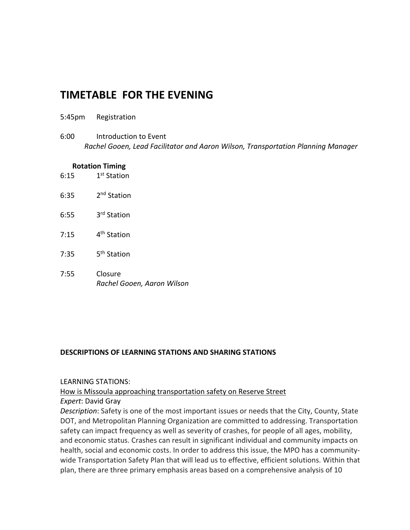## **TIMETABLE FOR THE EVENING**

- 5:45pm Registration
- 6:00 Introduction to Event *Rachel Gooen, Lead Facilitator and Aaron Wilson, Transportation Planning Manager*

#### **Rotation Timing**

- $6:15$ 1<sup>st</sup> Station
- $6:35$ 2<sup>nd</sup> Station
- $6:55$ 3<sup>rd</sup> Station
- $7:15$ 4<sup>th</sup> Station
- $7:35$ 5<sup>th</sup> Station
- 7:55 Closure *Rachel Gooen, Aaron Wilson*

#### **DESCRIPTIONS OF LEARNING STATIONS AND SHARING STATIONS**

#### LEARNING STATIONS:

How is Missoula approaching transportation safety on Reserve Street

#### *Expert*: David Gray

*Description*: Safety is one of the most important issues or needs that the City, County, State DOT, and Metropolitan Planning Organization are committed to addressing. Transportation safety can impact frequency as well as severity of crashes, for people of all ages, mobility, and economic status. Crashes can result in significant individual and community impacts on health, social and economic costs. In order to address this issue, the MPO has a communitywide Transportation Safety Plan that will lead us to effective, efficient solutions. Within that plan, there are three primary emphasis areas based on a comprehensive analysis of 10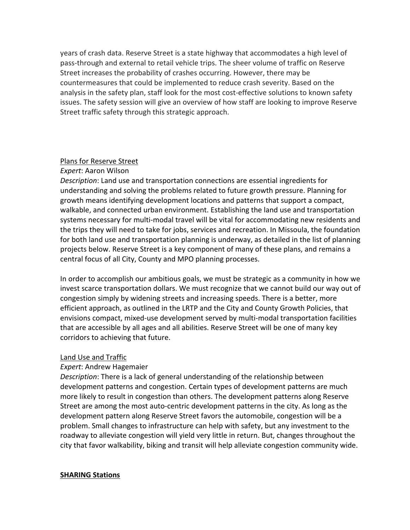years of crash data. Reserve Street is a state highway that accommodates a high level of pass-through and external to retail vehicle trips. The sheer volume of traffic on Reserve Street increases the probability of crashes occurring. However, there may be countermeasures that could be implemented to reduce crash severity. Based on the analysis in the safety plan, staff look for the most cost-effective solutions to known safety issues. The safety session will give an overview of how staff are looking to improve Reserve Street traffic safety through this strategic approach.

#### Plans for Reserve Street

### *Expert*: Aaron Wilson

*Description*: Land use and transportation connections are essential ingredients for understanding and solving the problems related to future growth pressure. Planning for growth means identifying development locations and patterns that support a compact, walkable, and connected urban environment. Establishing the land use and transportation systems necessary for multi-modal travel will be vital for accommodating new residents and the trips they will need to take for jobs, services and recreation. In Missoula, the foundation for both land use and transportation planning is underway, as detailed in the list of planning projects below. Reserve Street is a key component of many of these plans, and remains a central focus of all City, County and MPO planning processes.

In order to accomplish our ambitious goals, we must be strategic as a community in how we invest scarce transportation dollars. We must recognize that we cannot build our way out of congestion simply by widening streets and increasing speeds. There is a better, more efficient approach, as outlined in the LRTP and the City and County Growth Policies, that envisions compact, mixed-use development served by multi-modal transportation facilities that are accessible by all ages and all abilities. Reserve Street will be one of many key corridors to achieving that future.

#### Land Use and Traffic

### *Expert*: Andrew Hagemaier

*Description*: There is a lack of general understanding of the relationship between development patterns and congestion. Certain types of development patterns are much more likely to result in congestion than others. The development patterns along Reserve Street are among the most auto-centric development patterns in the city. As long as the development pattern along Reserve Street favors the automobile, congestion will be a problem. Small changes to infrastructure can help with safety, but any investment to the roadway to alleviate congestion will yield very little in return. But, changes throughout the city that favor walkability, biking and transit will help alleviate congestion community wide.

#### **SHARING Stations**